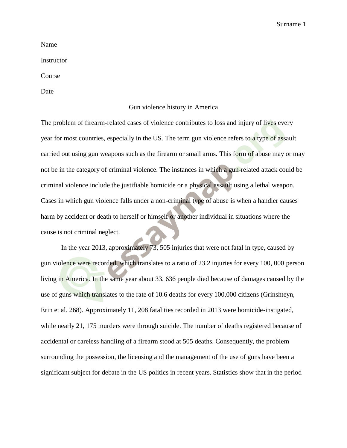Name

**Instructor** 

Course

Date

## Gun violence history in America

The problem of firearm-related cases of violence contributes to loss and injury of lives every year for most countries, especially in the US. The term gun violence refers to a type of assault carried out using gun weapons such as the firearm or small arms. This form of abuse may or may not be in the category of criminal violence. The instances in which a gun-related attack could be criminal violence include the justifiable homicide or a physical assault using a lethal weapon. Cases in which gun violence falls under a non-criminal type of abuse is when a handler causes harm by accident or death to herself or himself or another individual in situations where the cause is not criminal neglect.

In the year 2013, approximately 73, 505 injuries that were not fatal in type, caused by gun violence were recorded, which translates to a ratio of 23.2 injuries for every 100, 000 person living in America. In the same year about 33, 636 people died because of damages caused by the use of guns which translates to the rate of 10.6 deaths for every 100,000 citizens (Grinshteyn, Erin et al. 268). Approximately 11, 208 fatalities recorded in 2013 were homicide-instigated, while nearly 21, 175 murders were through suicide. The number of deaths registered because of accidental or careless handling of a firearm stood at 505 deaths. Consequently, the problem surrounding the possession, the licensing and the management of the use of guns have been a significant subject for debate in the US politics in recent years. Statistics show that in the period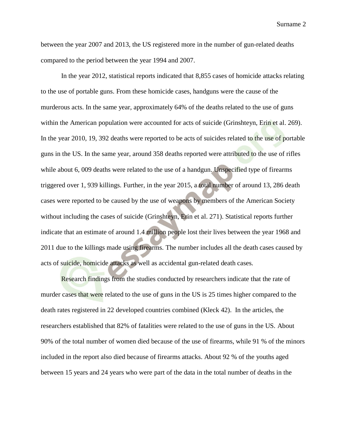between the year 2007 and 2013, the US registered more in the number of gun-related deaths compared to the period between the year 1994 and 2007.

In the year 2012, statistical reports indicated that 8,855 cases of homicide attacks relating to the use of portable guns. From these homicide cases, handguns were the cause of the murderous acts. In the same year, approximately 64% of the deaths related to the use of guns within the American population were accounted for acts of suicide (Grinshteyn, Erin et al. 269). In the year 2010, 19, 392 deaths were reported to be acts of suicides related to the use of portable guns in the US. In the same year, around 358 deaths reported were attributed to the use of rifles while about 6, 009 deaths were related to the use of a handgun. Unspecified type of firearms triggered over 1, 939 killings. Further, in the year 2015, a total number of around 13, 286 death cases were reported to be caused by the use of weapons by members of the American Society without including the cases of suicide (Grinshteyn, Erin et al. 271). Statistical reports further indicate that an estimate of around 1.4 million people lost their lives between the year 1968 and 2011 due to the killings made using firearms. The number includes all the death cases caused by acts of suicide, homicide attacks as well as accidental gun-related death cases.

Research findings from the studies conducted by researchers indicate that the rate of murder cases that were related to the use of guns in the US is 25 times higher compared to the death rates registered in 22 developed countries combined (Kleck 42). In the articles, the researchers established that 82% of fatalities were related to the use of guns in the US. About 90% of the total number of women died because of the use of firearms, while 91 % of the minors included in the report also died because of firearms attacks. About 92 % of the youths aged between 15 years and 24 years who were part of the data in the total number of deaths in the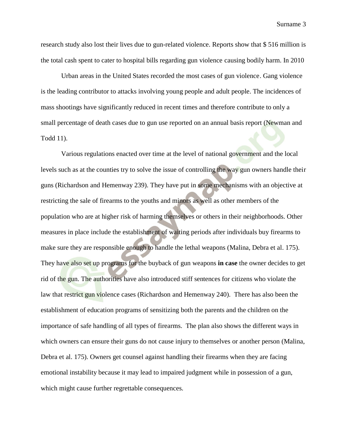research study also lost their lives due to gun-related violence. Reports show that \$ 516 million is the total cash spent to cater to hospital bills regarding gun violence causing bodily harm. In 2010

Urban areas in the United States recorded the most cases of gun violence. Gang violence is the leading contributor to attacks involving young people and adult people. The incidences of mass shootings have significantly reduced in recent times and therefore contribute to only a small percentage of death cases due to gun use reported on an annual basis report (Newman and Todd 11).

Various regulations enacted over time at the level of national government and the local levels such as at the counties try to solve the issue of controlling the way gun owners handle their guns (Richardson and Hemenway 239). They have put in some mechanisms with an objective at restricting the sale of firearms to the youths and minors as well as other members of the population who are at higher risk of harming themselves or others in their neighborhoods. Other measures in place include the establishment of waiting periods after individuals buy firearms to make sure they are responsible enough to handle the lethal weapons (Malina, Debra et al. 175). They have also set up programs for the buyback of gun weapons **in case** the owner decides to get rid of the gun. The authorities have also introduced stiff sentences for citizens who violate the law that restrict gun violence cases (Richardson and Hemenway 240). There has also been the establishment of education programs of sensitizing both the parents and the children on the importance of safe handling of all types of firearms. The plan also shows the different ways in which owners can ensure their guns do not cause injury to themselves or another person (Malina, Debra et al. 175). Owners get counsel against handling their firearms when they are facing emotional instability because it may lead to impaired judgment while in possession of a gun, which might cause further regrettable consequences.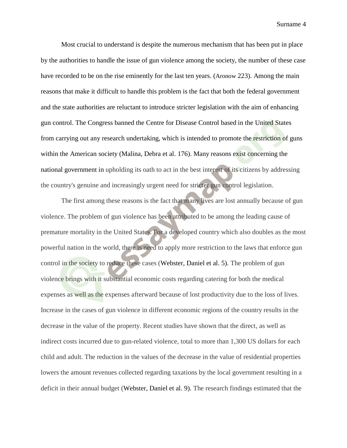Most crucial to understand is despite the numerous mechanism that has been put in place by the authorities to handle the issue of gun violence among the society, the number of these case have recorded to be on the rise eminently for the last ten years. (Aronow 223). Among the main reasons that make it difficult to handle this problem is the fact that both the federal government and the state authorities are reluctant to introduce stricter legislation with the aim of enhancing gun control. The Congress banned the Centre for Disease Control based in the United States from carrying out any research undertaking, which is intended to promote the restriction of guns within the American society (Malina, Debra et al. 176). Many reasons exist concerning the national government in upholding its oath to act in the best interest of its citizens by addressing the country's genuine and increasingly urgent need for stricter gun control legislation.

The first among these reasons is the fact that many lives are lost annually because of gun violence. The problem of gun violence has been attributed to be among the leading cause of premature mortality in the United States. For a developed country which also doubles as the most powerful nation in the world, there is need to apply more restriction to the laws that enforce gun control in the society to reduce these cases (Webster, Daniel et al. 5). The problem of gun violence brings with it substantial economic costs regarding catering for both the medical expenses as well as the expenses afterward because of lost productivity due to the loss of lives. Increase in the cases of gun violence in different economic regions of the country results in the decrease in the value of the property. Recent studies have shown that the direct, as well as indirect costs incurred due to gun-related violence, total to more than 1,300 US dollars for each child and adult. The reduction in the values of the decrease in the value of residential properties lowers the amount revenues collected regarding taxations by the local government resulting in a deficit in their annual budget (Webster, Daniel et al. 9). The research findings estimated that the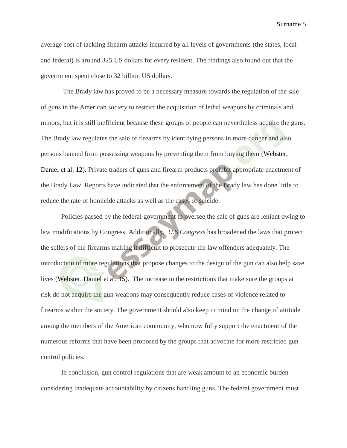average cost of tackling firearm attacks incurred by all levels of governments (the states, local and federal) is around 325 US dollars for every resident. The findings also found out that the government spent close to 32 billion US dollars.

The Brady law has proved to be a necessary measure towards the regulation of the sale of guns in the American society to restrict the acquisition of lethal weapons by criminals and minors, but it is still inefficient because these groups of people can nevertheless acquire the guns. The Brady law regulates the sale of firearms by identifying persons in more danger and also persons banned from possessing weapons by preventing them from buying them (Webster, Daniel et al. 12). Private traders of guns and firearm products prohibit appropriate enactment of the Brady Law. Reports have indicated that the enforcement of the Brady law has done little to reduce the rate of homicide attacks as well as the cases of suicide.

Policies passed by the federal government to oversee the sale of guns are lenient owing to law modifications by Congress. Additionally, *U.S Congress* has broadened the laws that protect the sellers of the firearms making it difficult to prosecute the law offenders adequately. The introduction of more regulations that propose changes to the design of the gun can also help save lives (Webster, Daniel et al. 15). The increase in the restrictions that make sure the groups at risk do not acquire the gun weapons may consequently reduce cases of violence related to firearms within the society. The government should also keep in mind on the change of attitude among the members of the American community, who now fully support the enactment of the numerous reforms that have been proposed by the groups that advocate for more restricted gun control policies.

In conclusion, gun control regulations that are weak amount to an economic burden considering inadequate accountability by citizens handling guns. The federal government must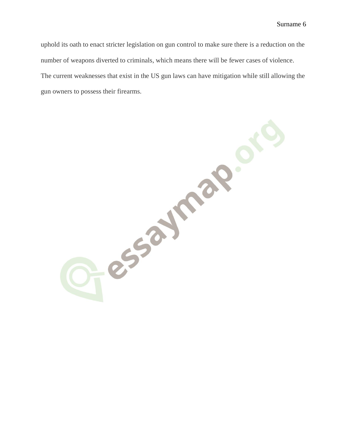uphold its oath to enact stricter legislation on gun control to make sure there is a reduction on the number of weapons diverted to criminals, which means there will be fewer cases of violence. The current weaknesses that exist in the US gun laws can have mitigation while still allowing the gun owners to possess their firearms.

O-essaymap.  $S^3$